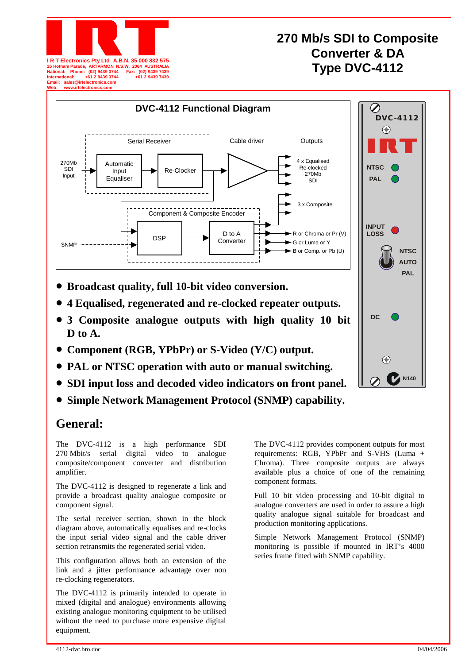

# **270 Mb/s SDI to Composite Converter & DA**  W. 2064 AUSTRALIA<br>
Fax: (02) 9439 7439<br>  $+61 2 9439 7439$

 $\bigodot$ 



- **Broadcast quality, full 10-bit video conversion.**
- **4 Equalised, regenerated and re-clocked repeater outputs.**
- **3 Composite analogue outputs with high quality 10 bit D to A.**
- **Component (RGB, YPbPr) or S-Video (Y/C) output.**
- **PAL or NTSC operation with auto or manual switching.**
- **SDI input loss and decoded video indicators on front panel.**
- **Simple Network Management Protocol (SNMP) capability.**

### **General:**

The DVC-4112 is a high performance SDI 270 Mbit/s serial digital video to analogue composite/component converter and distribution amplifier.

The DVC-4112 is designed to regenerate a link and provide a broadcast quality analogue composite or component signal.

The serial receiver section, shown in the block diagram above, automatically equalises and re-clocks the input serial video signal and the cable driver section retransmits the regenerated serial video.

This configuration allows both an extension of the link and a jitter performance advantage over non re-clocking regenerators.

The DVC-4112 is primarily intended to operate in mixed (digital and analogue) environments allowing existing analogue monitoring equipment to be utilised without the need to purchase more expensive digital equipment.

The DVC-4112 provides component outputs for most requirements: RGB, YPbPr and S-VHS (Luma + Chroma). Three composite outputs are always available plus a choice of one of the remaining component formats.

**DC**

 $\bigodot$ 

**NTSC AUTO PAL**

**N140**

Full 10 bit video processing and 10-bit digital to analogue converters are used in order to assure a high quality analogue signal suitable for broadcast and production monitoring applications.

Simple Network Management Protocol (SNMP) monitoring is possible if mounted in IRT's 4000 series frame fitted with SNMP capability.

4112-dvc.bro.doc 04/04/2006